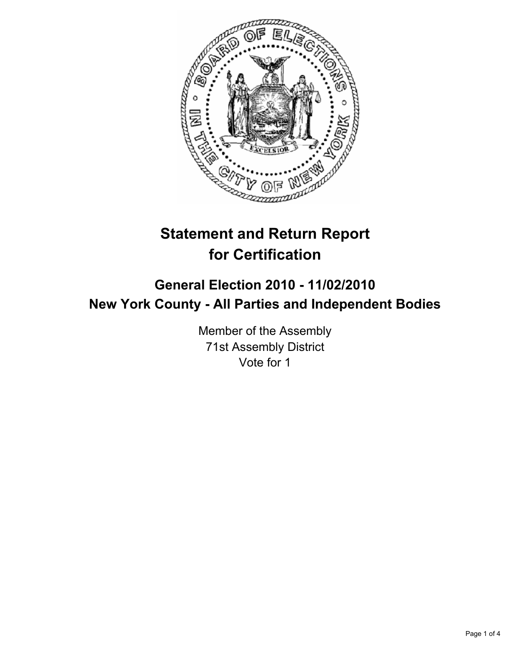

# **Statement and Return Report for Certification**

## **General Election 2010 - 11/02/2010 New York County - All Parties and Independent Bodies**

Member of the Assembly 71st Assembly District Vote for 1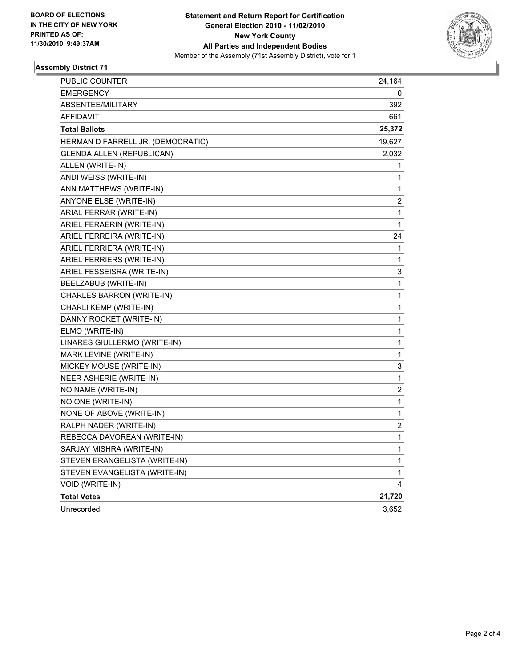

#### **Assembly District 71**

| PUBLIC COUNTER                    | 24,164 |
|-----------------------------------|--------|
| <b>EMERGENCY</b>                  | 0      |
| ABSENTEE/MILITARY                 | 392    |
| <b>AFFIDAVIT</b>                  | 661    |
| <b>Total Ballots</b>              | 25,372 |
| HERMAN D FARRELL JR. (DEMOCRATIC) | 19,627 |
| <b>GLENDA ALLEN (REPUBLICAN)</b>  | 2,032  |
| ALLEN (WRITE-IN)                  | 1      |
| ANDI WEISS (WRITE-IN)             | 1      |
| ANN MATTHEWS (WRITE-IN)           | 1      |
| ANYONE ELSE (WRITE-IN)            | 2      |
| ARIAL FERRAR (WRITE-IN)           | 1      |
| ARIEL FERAERIN (WRITE-IN)         | 1      |
| ARIEL FERREIRA (WRITE-IN)         | 24     |
| ARIEL FERRIERA (WRITE-IN)         | 1      |
| ARIEL FERRIERS (WRITE-IN)         | 1      |
| ARIEL FESSEISRA (WRITE-IN)        | 3      |
| BEELZABUB (WRITE-IN)              | 1      |
| CHARLES BARRON (WRITE-IN)         | 1      |
| CHARLI KEMP (WRITE-IN)            | 1      |
| DANNY ROCKET (WRITE-IN)           | 1      |
| ELMO (WRITE-IN)                   | 1      |
| LINARES GIULLERMO (WRITE-IN)      | 1      |
| MARK LEVINE (WRITE-IN)            | 1      |
| MICKEY MOUSE (WRITE-IN)           | 3      |
| NEER ASHERIE (WRITE-IN)           | 1      |
| NO NAME (WRITE-IN)                | 2      |
| NO ONE (WRITE-IN)                 | 1      |
| NONE OF ABOVE (WRITE-IN)          | 1      |
| RALPH NADER (WRITE-IN)            | 2      |
| REBECCA DAVOREAN (WRITE-IN)       | 1      |
| SARJAY MISHRA (WRITE-IN)          | 1      |
| STEVEN ERANGELISTA (WRITE-IN)     | 1      |
| STEVEN EVANGELISTA (WRITE-IN)     | 1      |
| VOID (WRITE-IN)                   | 4      |
| <b>Total Votes</b>                | 21,720 |
| Unrecorded                        | 3,652  |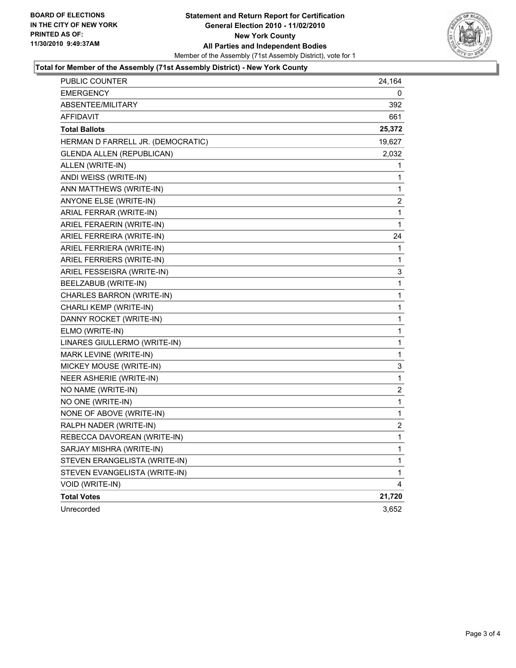

#### **Total for Member of the Assembly (71st Assembly District) - New York County**

| PUBLIC COUNTER                    | 24,164 |
|-----------------------------------|--------|
| <b>EMERGENCY</b>                  | 0      |
| ABSENTEE/MILITARY                 | 392    |
| AFFIDAVIT                         | 661    |
| <b>Total Ballots</b>              | 25,372 |
| HERMAN D FARRELL JR. (DEMOCRATIC) | 19,627 |
| <b>GLENDA ALLEN (REPUBLICAN)</b>  | 2,032  |
| ALLEN (WRITE-IN)                  | 1      |
| ANDI WEISS (WRITE-IN)             | 1      |
| ANN MATTHEWS (WRITE-IN)           | 1      |
| ANYONE ELSE (WRITE-IN)            | 2      |
| ARIAL FERRAR (WRITE-IN)           | 1      |
| ARIEL FERAERIN (WRITE-IN)         | 1      |
| ARIEL FERREIRA (WRITE-IN)         | 24     |
| ARIEL FERRIERA (WRITE-IN)         | 1      |
| ARIEL FERRIERS (WRITE-IN)         | 1      |
| ARIEL FESSEISRA (WRITE-IN)        | 3      |
| BEELZABUB (WRITE-IN)              | 1      |
| CHARLES BARRON (WRITE-IN)         | 1      |
| CHARLI KEMP (WRITE-IN)            | 1      |
| DANNY ROCKET (WRITE-IN)           | 1      |
| ELMO (WRITE-IN)                   | 1      |
| LINARES GIULLERMO (WRITE-IN)      | 1      |
| MARK LEVINE (WRITE-IN)            | 1      |
| MICKEY MOUSE (WRITE-IN)           | 3      |
| NEER ASHERIE (WRITE-IN)           | 1      |
| NO NAME (WRITE-IN)                | 2      |
| NO ONE (WRITE-IN)                 | 1      |
| NONE OF ABOVE (WRITE-IN)          | 1      |
| RALPH NADER (WRITE-IN)            | 2      |
| REBECCA DAVOREAN (WRITE-IN)       | 1      |
| SARJAY MISHRA (WRITE-IN)          | 1      |
| STEVEN ERANGELISTA (WRITE-IN)     | 1      |
| STEVEN EVANGELISTA (WRITE-IN)     | 1      |
| VOID (WRITE-IN)                   | 4      |
| <b>Total Votes</b>                | 21,720 |
| Unrecorded                        | 3,652  |